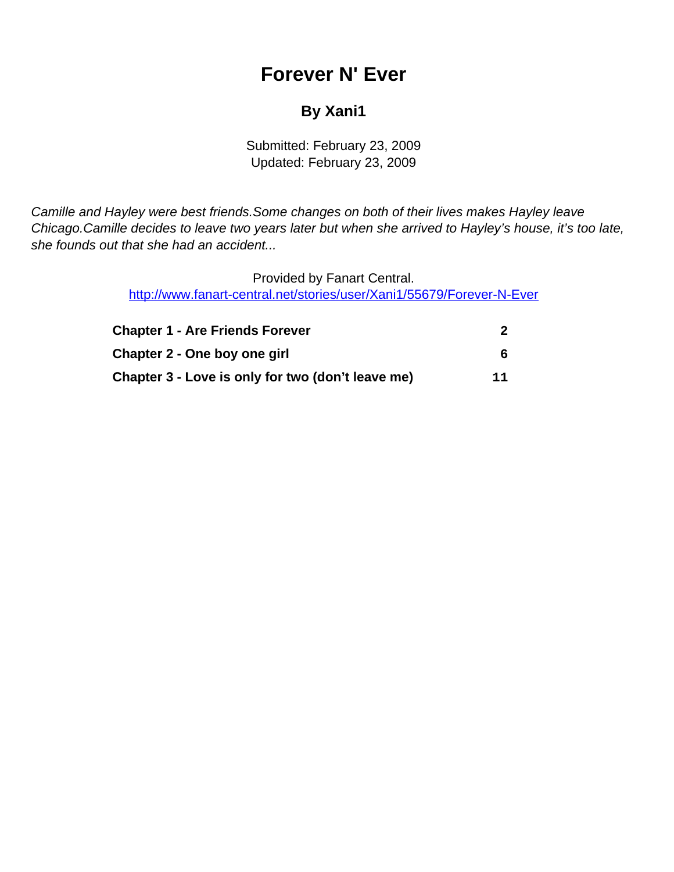# **Forever N' Ever**

### **By Xani1**

Submitted: February 23, 2009 Updated: February 23, 2009

<span id="page-0-0"></span>Camille and Hayley were best friends.Some changes on both of their lives makes Hayley leave Chicago.Camille decides to leave two years later but when she arrived to Hayley's house, it's too late, she founds out that she had an accident...

> Provided by Fanart Central. [http://www.fanart-central.net/stories/user/Xani1/55679/Forever-N-Ever](#page-0-0)

| <b>Chapter 1 - Are Friends Forever</b><br>Chapter 2 - One boy one girl<br>Chapter 3 - Love is only for two (don't leave me) | 11 |
|-----------------------------------------------------------------------------------------------------------------------------|----|
|-----------------------------------------------------------------------------------------------------------------------------|----|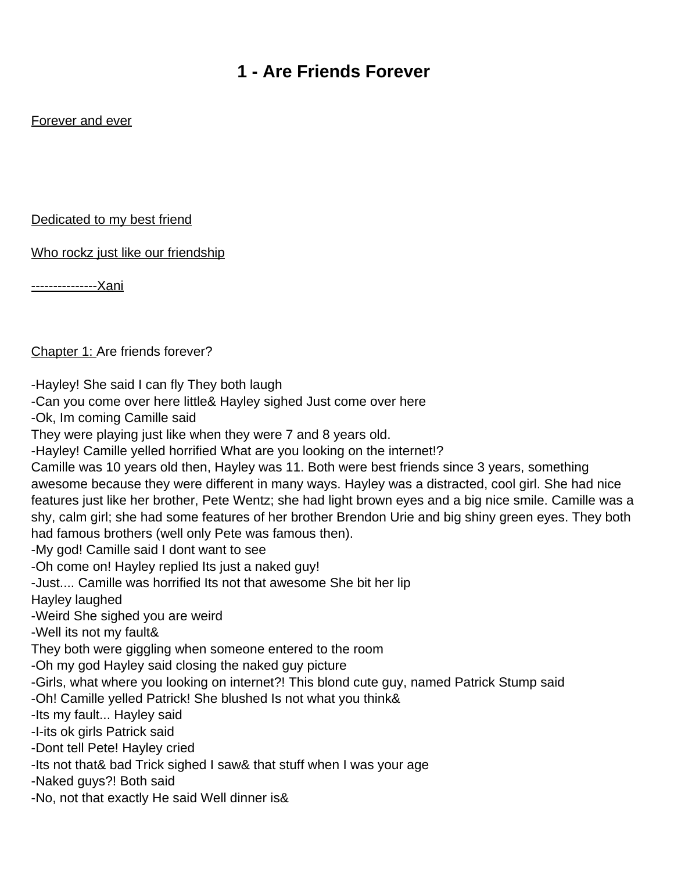### **1 - Are Friends Forever**

### <span id="page-1-0"></span>Forever and ever

#### Dedicated to my best friend

Who rockz just like our friendship

---------------Xani

Chapter 1: Are friends forever?

-Hayley! She said I can fly They both laugh

-Can you come over here little& Hayley sighed Just come over here

-Ok, Im coming Camille said

They were playing just like when they were 7 and 8 years old.

-Hayley! Camille yelled horrified What are you looking on the internet!?

Camille was 10 years old then, Hayley was 11. Both were best friends since 3 years, something awesome because they were different in many ways. Hayley was a distracted, cool girl. She had nice features just like her brother, Pete Wentz; she had light brown eyes and a big nice smile. Camille was a shy, calm girl; she had some features of her brother Brendon Urie and big shiny green eyes. They both had famous brothers (well only Pete was famous then).

-My god! Camille said I don t want to see

-Oh come on! Hayley replied It s just a naked guy!

-Just.... Camille was horrified It s not that awesome She bit her lip

Hayley laughed

-Weird She sighed you are weird

-Well it s not my fault&

They both were giggling when someone entered to the room

-Oh my god Hayley said closing the naked guy picture

-Girls, what where you looking on internet?! This blond cute guy, named Patrick Stump said

-Oh! Camille yelled Patrick! She blushed Is not what you think&

-It s my fault... Hayley said

-I-its ok girls Patrick said

-Dont tell Pete! Hayley cried

-It s not that& bad Trick sighed I saw& that stuff when I was your age

-Naked guys?! Both said

-No, not that exactly He said Well dinner is&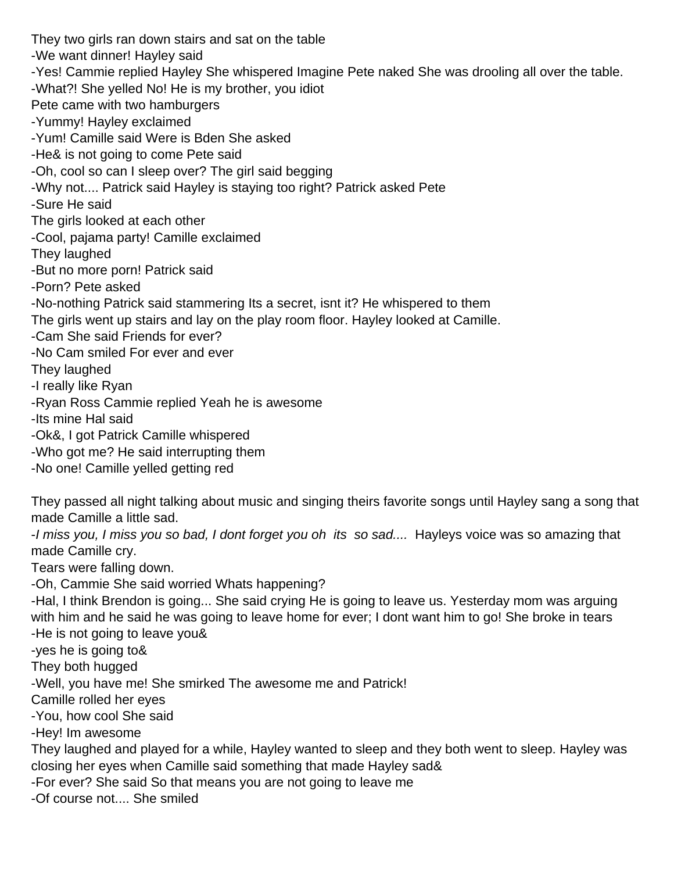They two girls ran down stairs and sat on the table -We want dinner! Hayley said -Yes! Cammie replied Hayley She whispered Imagine Pete naked She was drooling all over the table. -What?! She yelled No! He is my brother, you idiot Pete came with two hamburgers -Yummy! Hayley exclaimed -Yum! Camille said Were is Bden She asked -He& is not going to come Pete said -Oh, cool so can I sleep over? The girl said begging -Why not.... Patrick said Hayley is staying too right? Patrick asked Pete -Sure He said The girls looked at each other -Cool, pajama party! Camille exclaimed They laughed -But no more porn! Patrick said -Porn? Pete asked -No-nothing Patrick said stammering It s a secret, isn t it? He whispered to them The girls went up stairs and lay on the play room floor. Hayley looked at Camille. -Cam She said Friends for ever? -No Cam smiled For ever and ever They laughed -I really like Ryan -Ryan Ross Cammie replied Yeah he is awesome -Its mine Hal said -Ok&, I got Patrick Camille whispered -Who got me? He said interrupting them -No one! Camille yelled getting red

They passed all night talking about music and singing theirs favorite songs until Hayley sang a song that made Camille a little sad.

-I miss you, I miss you so bad, I don t forget you oh it s so sad.... Hayley s voice was so amazing that made Camille cry.

Tears were falling down.

-Oh, Cammie She said worried What s happening?

-Hal, I think Brendon is going... She said crying He is going to leave us. Yesterday mom was arguing with him and he said he was going to leave home for ever; I don t want him to go! She broke in tears -He is not going to leave you&

-yes he is going to&

They both hugged

-Well, you have me! She smirked The awesome me and Patrick!

Camille rolled her eyes

-You, how cool She said

-Hey! Im awesome

They laughed and played for a while, Hayley wanted to sleep and they both went to sleep. Hayley was closing her eyes when Camille said something that made Hayley sad&

-For ever? She said So that means you are not going to leave me

-Of course not.... She smiled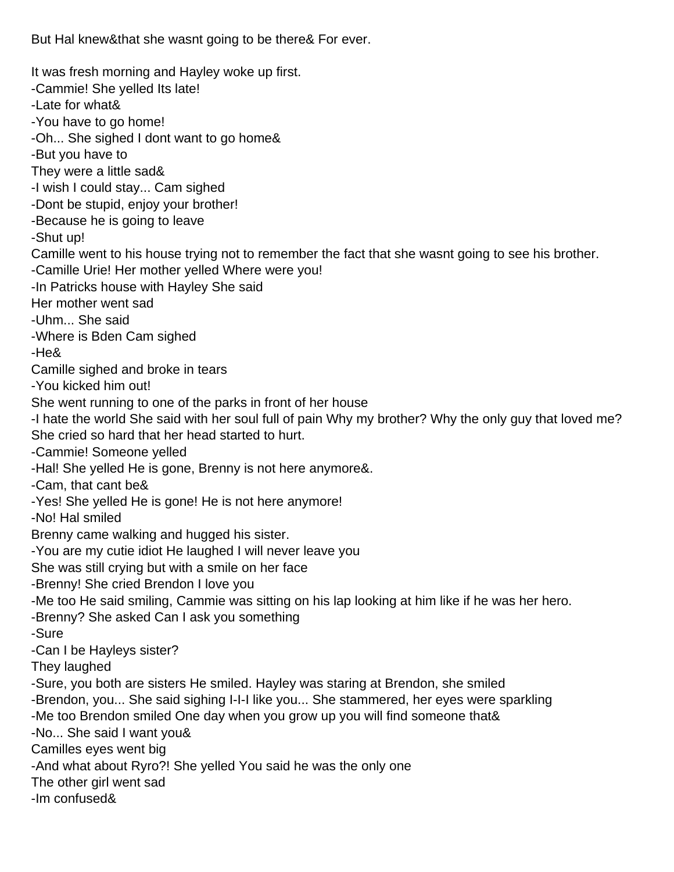But Hal knew & that she wasn t going to be there & For ever.

It was fresh morning and Hayley woke up first.

-Cammie! She yelled It s late!

-Late for what&

-You have to go home!

-Oh... She sighed I don t want to go home&

-But you have to

They were a little sad&

-I wish I could stay... Cam sighed

-Don t be stupid, enjoy your brother!

-Because he is going to leave

-Shut up!

Camille went to his house trying not to remember the fact that she wasnt going to see his brother.

-Camille Urie! Her mother yelled Where were you!

-In Patrick s house with Hayley She said

Her mother went sad

-Uhm... She said

-Where is Bden Cam sighed

-He&

Camille sighed and broke in tears

-You kicked him out!

She went running to one of the parks in front of her house

-I hate the world She said with her soul full of pain Why my brother? Why the only guy that loved me? She cried so hard that her head started to hurt.

-Cammie! Someone yelled

-Hal! She yelled He is gone, Brenny is not here anymore&.

-Cam, that can t be&

-Yes! She yelled He is gone! He is not here anymore!

-No! Hal smiled

Brenny came walking and hugged his sister.

-You are my cutie idiot He laughed I will never leave you

She was still crying but with a smile on her face

-Brenny! She cried Brendon I love you

-Me too He said smiling, Cammie was sitting on his lap looking at him like if he was her hero.

-Brenny? She asked Can I ask you something

-Sure

-Can I be Hayley s sister?

They laughed

-Sure, you both are sisters He smiled. Hayley was staring at Brendon, she smiled

-Brendon, you... She said sighing I-I-I like you... She stammered, her eyes were sparkling

-Me too Brendon smiled One day when you grow up you will find someone that&

-No... She said I want you&

Camille s eyes went big

-And what about Ryro?! She yelled You said he was the only one

The other girl went sad

-Im confused&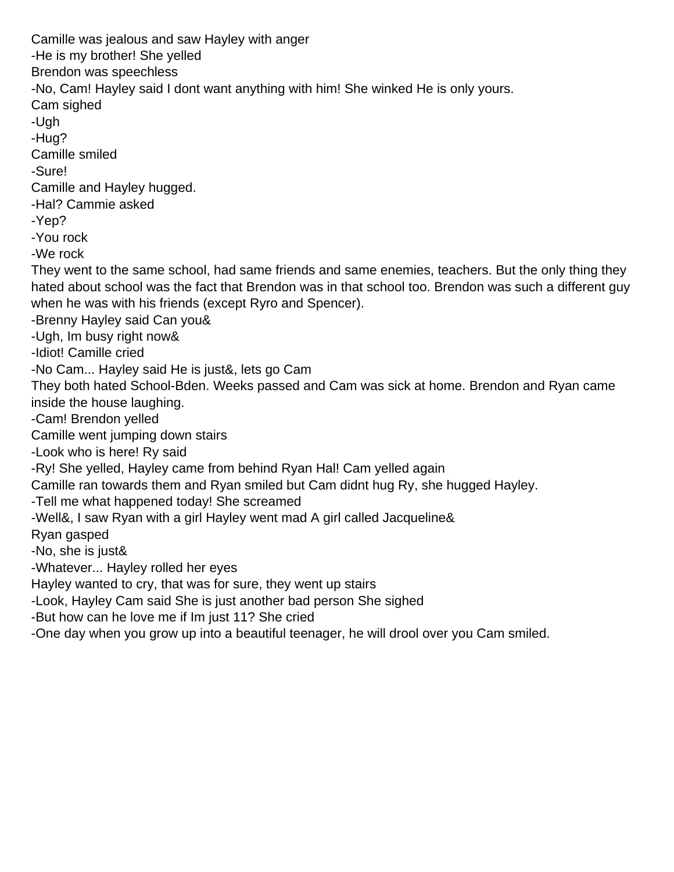Camille was jealous and saw Hayley with anger -He is my brother! She yelled Brendon was speechless -No, Cam! Hayley said I don t want anything with him! She winked He is only yours. Cam sighed -Ugh -Hug? Camille smiled -Sure! Camille and Hayley hugged. -Hal? Cammie asked -Yep? -You rock -We rock They went to the same school, had same friends and same enemies, teachers. But the only thing they hated about school was the fact that Brendon was in that school too. Brendon was such a different guy when he was with his friends (except Ryro and Spencer). -Brenny Hayley said Can you& -Ugh, Im busy right now& -Idiot! Camille cried -No Cam... Hayley said He is just&, let s go Cam They both hated School-Bden. Weeks passed and Cam was sick at home. Brendon and Ryan came inside the house laughing. -Cam! Brendon yelled Camille went jumping down stairs -Look who is here! Ry said -Ry! She yelled, Hayley came from behind Ryan Hal! Cam yelled again Camille ran towards them and Ryan smiled but Cam didnt hug Ry, she hugged Hayley. -Tell me what happened today! She screamed -Well&, I saw Ryan with a girl Hayley went mad A girl called Jacqueline& Ryan gasped -No, she is just& -Whatever... Hayley rolled her eyes Hayley wanted to cry, that was for sure, they went up stairs -Look, Hayley Cam said She is just another bad person She sighed -But how can he love me if Im just 11? She cried -One day when you grow up into a beautiful teenager, he will drool over you Cam smiled.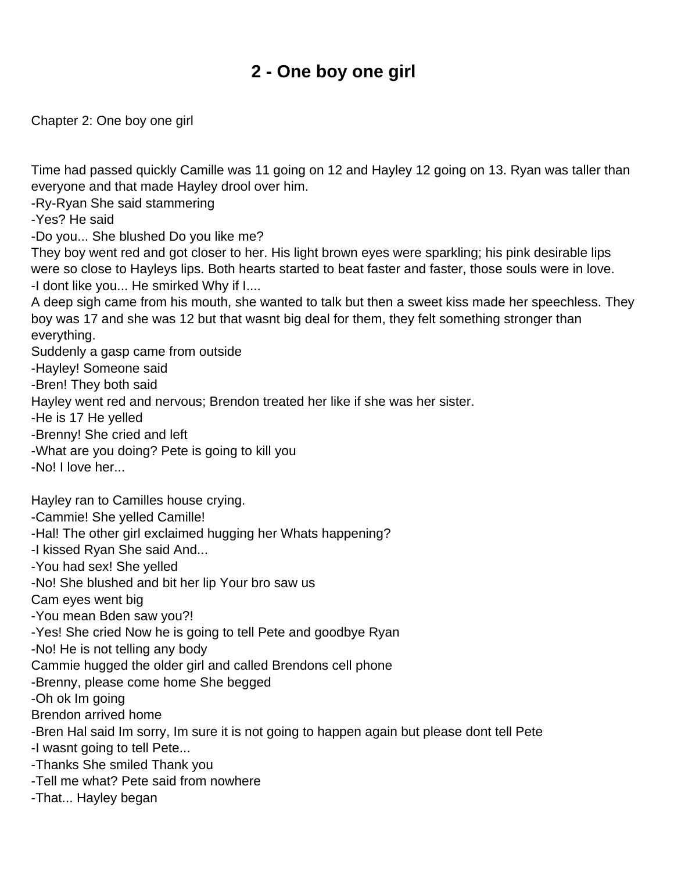## **2 - One boy one girl**

<span id="page-5-0"></span>Chapter 2: One boy one girl

Time had passed quickly Camille was 11 going on 12 and Hayley 12 going on 13. Ryan was taller than everyone and that made Hayley drool over him.

-Ry-Ryan She said stammering

-Yes? He said

-Do you... She blushed Do you like me?

They boy went red and got closer to her. His light brown eyes were sparkling; his pink desirable lips were so close to Hayley s lips. Both hearts started to beat faster and faster, those souls were in love. -I dont like you... He smirked Why if I....

A deep sigh came from his mouth, she wanted to talk but then a sweet kiss made her speechless. They boy was 17 and she was 12 but that wasnt big deal for them, they felt something stronger than everything.

Suddenly a gasp came from outside

-Hayley! Someone said

-Bren! They both said

Hayley went red and nervous; Brendon treated her like if she was her sister.

-He is 17 He yelled

-Brenny! She cried and left

-What are you doing? Pete is going to kill you

-No! I love her...

Hayley ran to Camille s house crying.

-Cammie! She yelled Camille!

-Hal! The other girl exclaimed hugging her What s happening?

-I kissed Ryan She said And...

-You had sex! She yelled

-No! She blushed and bit her lip Your bro saw us

Cam eyes went big

-You mean Bden saw you?!

-Yes! She cried Now he is going to tell Pete and goodbye Ryan

-No! He is not telling any body

Cammie hugged the older girl and called Brendon s cell phone

-Brenny, please come home She begged

-Oh ok Im going

Brendon arrived home

-Bren Hal said Im sorry, Im sure it is not going to happen again but please dont tell Pete

-I wasn t going to tell Pete...

-Thanks She smiled Thank you

-Tell me what? Pete said from nowhere

-That... Hayley began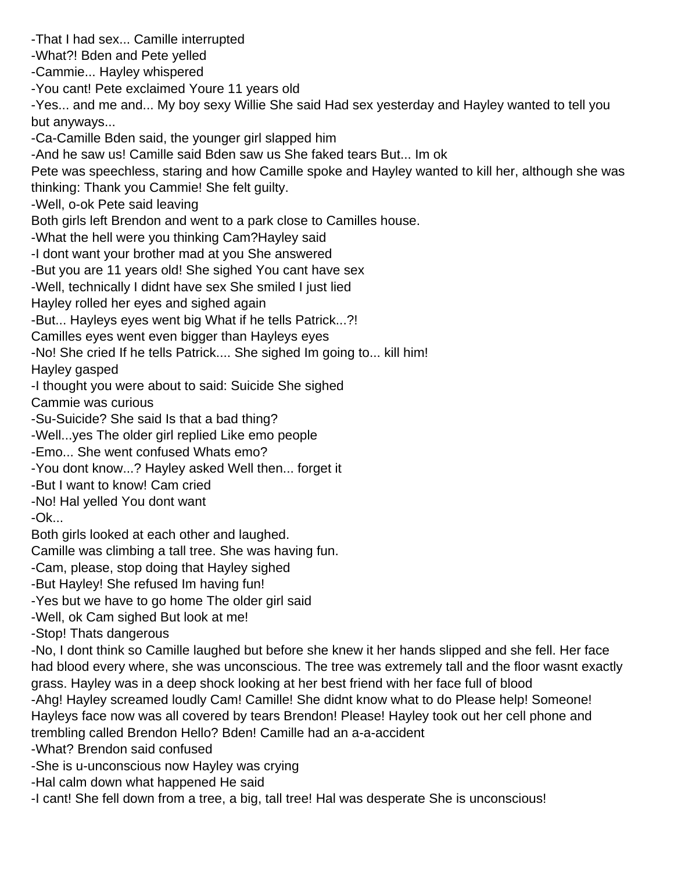-That I had sex... Camille interrupted -What?! Bden and Pete yelled -Cammie... Hayley whispered -You cant! Pete exclaimed Youre 11 years old -Yes... and me and... My boy sexy Willie She said Had sex yesterday and Hayley wanted to tell you but anyways... -Ca-Camille Bden said, the younger girl slapped him -And he saw us! Camille said Bden saw us She faked tears But... Im ok Pete was speechless, staring and how Camille spoke and Hayley wanted to kill her, although she was thinking: Thank you Cammie! She felt guilty. -Well, o-ok Pete said leaving Both girls left Brendon and went to a park close to Camille s house. -What the hell were you thinking Cam? Hayley said -I dont want your brother mad at you She answered -But you are 11 years old! She sighed You can t have sex -Well, technically I didnt have sex She smiled I just lied Hayley rolled her eyes and sighed again -But... Hayley s eyes went big What if he tells Patrick...?! Camille s eyes went even bigger than Hayley s eyes -No! She cried If he tells Patrick.... She sighed Im going to... kill him! Hayley gasped -I thought you were about to said: Suicide She sighed Cammie was curious -Su-Suicide? She said Is that a bad thing? -Well...yes The older girl replied Like emo people -Emo... She went confused What s emo? -You dont know...? Hayley asked Well then... forget it -But I want to know! Cam cried -No! Hal yelled You don t want -Ok... Both girls looked at each other and laughed. Camille was climbing a tall tree. She was having fun. -Cam, please, stop doing that Hayley sighed -But Hayley! She refused Im having fun! -Yes but we have to go home The older girl said -Well, ok Cam sighed But look at me! -Stop! That s dangerous -No, I don t think so Camille laughed but before she knew it her hands slipped and she fell. Her face had blood every where, she was unconscious. The tree was extremely tall and the floor wasnt exactly grass. Hayley was in a deep shock looking at her best friend with her face full of blood -Ahg! Hayley screamed loudly Cam! Camille! She didn t know what to do Please help! Someone! Hayleys face now was all covered by tears Brendon! Please! Hayley took out her cell phone and trembling called Brendon Hello? Bden! Camille had an a-a-accident -What? Brendon said confused -She is u-unconscious now Hayley was crying -Hal calm down what happened He said -I cant! She fell down from a tree, a big, tall tree! Hal was desperate She is unconscious!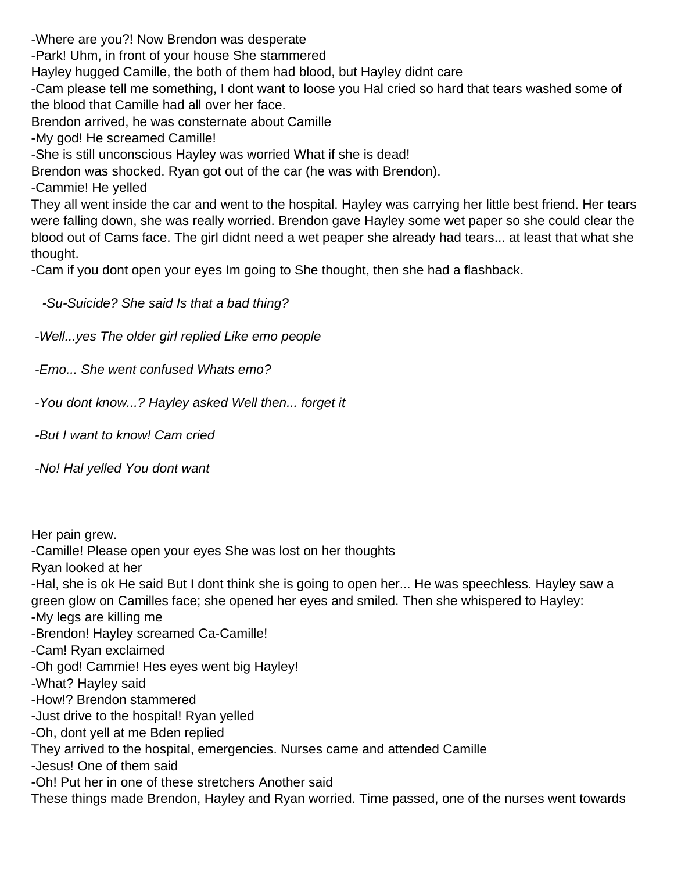-Where are you?! Now Brendon was desperate

-Park! Uhm, in front of your house She stammered

Hayley hugged Camille, the both of them had blood, but Hayley didn t care

-Cam please tell me something, I don t want to loose you Hal cried so hard that tears washed some of the blood that Camille had all over her face.

Brendon arrived, he was consternate about Camille

-My god! He screamed Camille!

-She is still unconscious Hayley was worried What if she is dead!

Brendon was shocked. Ryan got out of the car (he was with Brendon).

-Cammie! He yelled

They all went inside the car and went to the hospital. Hayley was carrying her little best friend. Her tears were falling down, she was really worried. Brendon gave Hayley some wet paper so she could clear the blood out of Cam s face. The girl didn t need a wet peaper she already had tears... at least that what she thought.

-Cam if you don t open your eyes I m going to She thought, then she had a flashback.

-Su-Suicide? She said Is that a bad thing?

-Well...yes The older girl replied Like emo people

-Emo... She went confused What s emo?

-You don t know...? Hayley asked Well then... forget it

-But I want to know! Cam cried

-No! Hal yelled You don t want

Her pain grew.

-Camille! Please open your eyes She was lost on her thoughts

Ryan looked at her

-Hal, she is ok He said But I don t think she is going to open her... He was speechless. Hayley saw a green glow on Camille s face; she opened her eyes and smiled. Then she whispered to Hayley:

-My legs are killing me

-Brendon! Hayley screamed Ca-Camille!

-Cam! Ryan exclaimed

-Oh god! Cammie! Hes eyes went big Hayley!

-What? Hayley said

-How!? Brendon stammered

-Just drive to the hospital! Ryan yelled

-Oh, dont yell at me Bden replied

They arrived to the hospital, emergencies. Nurses came and attended Camille

-Jesus! One of them said

-Oh! Put her in one of these stretchers Another said

These things made Brendon, Hayley and Ryan worried. Time passed, one of the nurses went towards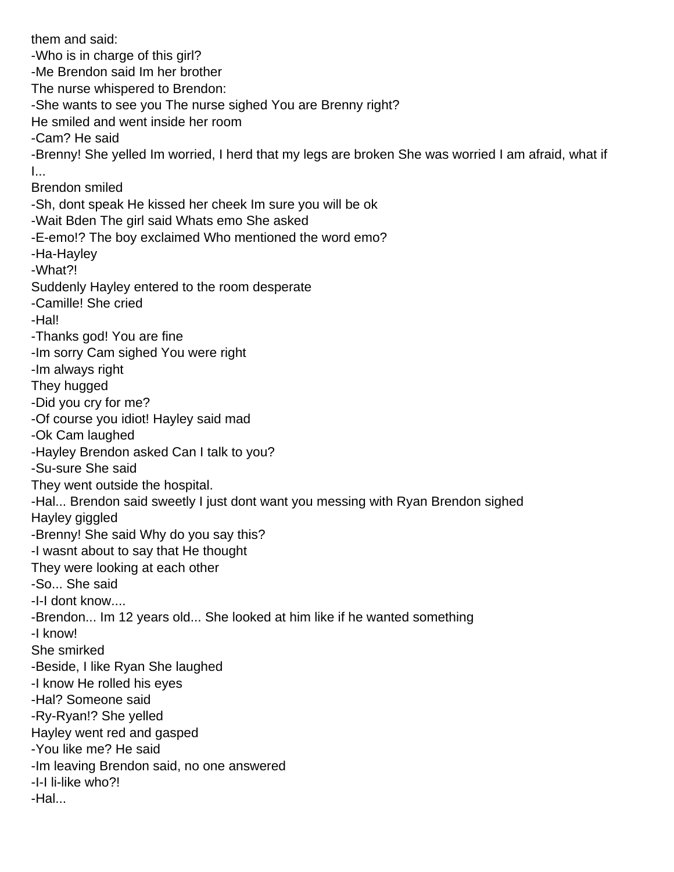them and said: -Who is in charge of this girl? -Me Brendon said Im her brother The nurse whispered to Brendon: -She wants to see you The nurse sighed You are Brenny right? He smiled and went inside her room -Cam? He said -Brenny! She yelled Im worried, I herd that my legs are broken She was worried I am afraid, what if I... Brendon smiled -Sh, don t speak He kissed her cheek I m sure you will be ok -Wait Bden The girl said What s emo She asked -E-emo!? The boy exclaimed Who mentioned the word emo? -Ha-Hayley -What?! Suddenly Hayley entered to the room desperate -Camille! She cried -Hal! -Thanks god! You are fine -Im sorry Cam sighed You were right -Im always right They hugged -Did you cry for me? -Of course you idiot! Hayley said mad -Ok Cam laughed -Hayley Brendon asked Can I talk to you? -Su-sure She said They went outside the hospital. -Hal... Brendon said sweetly I just don t want you messing with Ryan Brendon sighed Hayley giggled -Brenny! She said Why do you say this? -I wasnt about to say that He thought They were looking at each other -So... She said -I-I don t know.... -Brendon... I m 12 years old... She looked at him like if he wanted something -I know! She smirked -Beside, I like Ryan She laughed -I know He rolled his eyes -Hal? Someone said -Ry-Ryan!? She yelled Hayley went red and gasped -You like me? He said -Im leaving Brendon said, no one answered -I-I li-like who?! -Hal...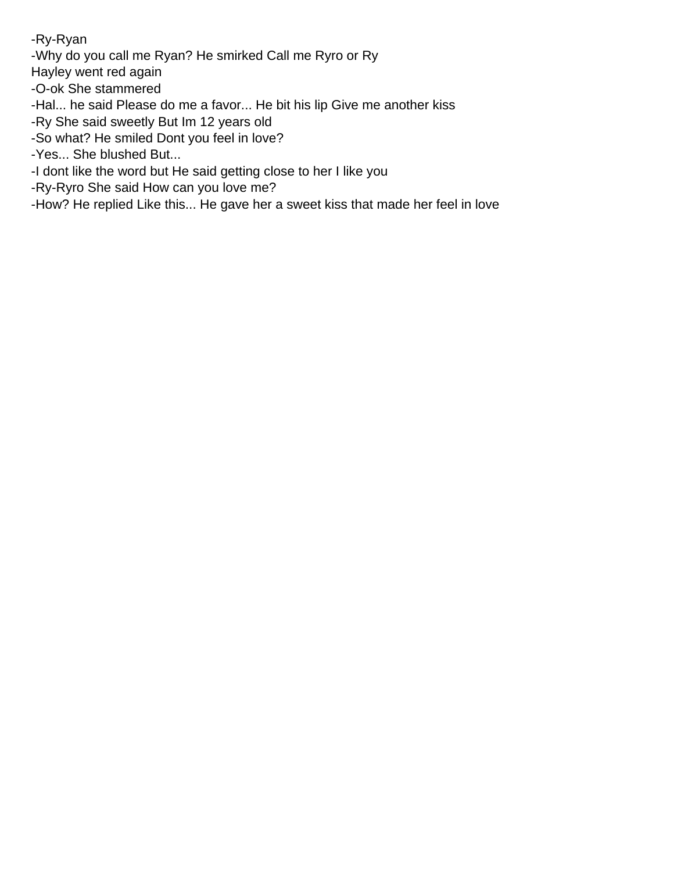-Ry-Ryan

-Why do you call me Ryan? He smirked Call me Ryro or Ry

Hayley went red again

-O-ok She stammered

-Hal... he said Please do me a favor... He bit his lip Give me another kiss

-Ry She said sweetly But Im 12 years old

-So what? He smiled Don t you feel in love?

-Yes... She blushed But...

-I don t like the word but He said getting close to her I like you

-Ry-Ryro She said How can you love me?

-How? He replied Like this... He gave her a sweet kiss that made her feel in love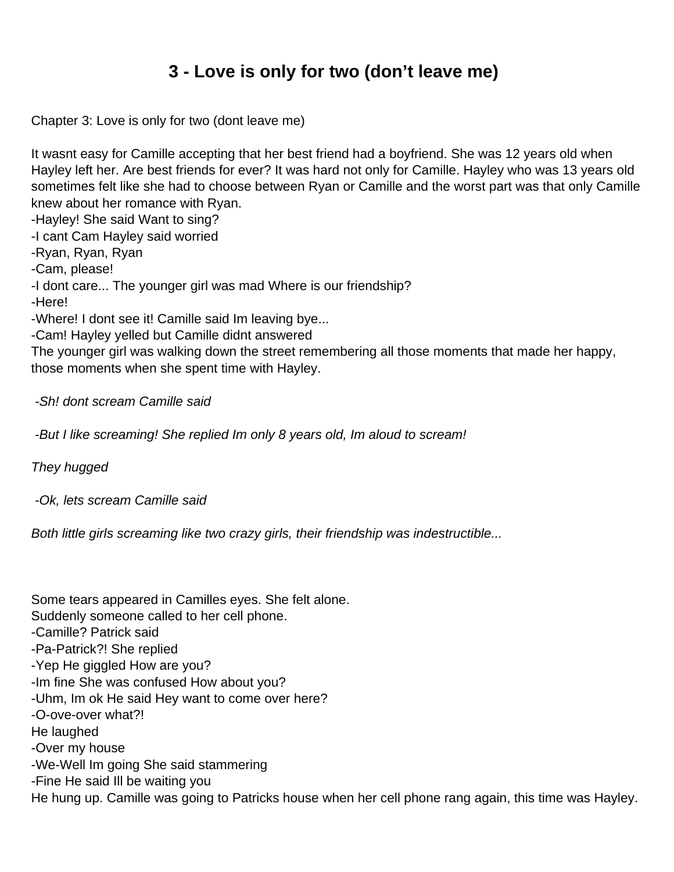## **3 - Love is only for two (don't leave me)**

<span id="page-10-0"></span>Chapter 3: Love is only for two (don t leave me)

It wasn t easy for Camille accepting that her best friend had a boyfriend. She was 12 years old when Hayley left her. Are best friends for ever? It was hard not only for Camille. Hayley who was 13 years old sometimes felt like she had to choose between Ryan or Camille and the worst part was that only Camille knew about her romance with Ryan.

-Hayley! She said Want to sing?

-I cant Cam Hayley said worried

-Ryan, Ryan, Ryan

-Cam, please!

-I don t care... The younger girl was mad Where is our friendship?

-Here!

-Where! I don t see it! Camille said I m leaving bye...

-Cam! Hayley yelled but Camille didn t answered

The younger girl was walking down the street remembering all those moments that made her happy, those moments when she spent time with Hayley.

-Sh! don t scream Camille said

-But I like screaming! She replied I m only 8 years old, I m aloud to scream!

They hugged

-Ok, let s scream Camille said

Both little girls screaming like two crazy girls, their friendship was indestructible...

Some tears appeared in Camille s eyes. She felt alone. Suddenly someone called to her cell phone. -Camille? Patrick said -Pa-Patrick?! She replied -Yep He giggled How are you? -Im fine She was confused How about you? -Uhm, Im ok He said Hey want to come over here? -O-ove-over what?! He laughed -Over my house -We-Well Im going She said stammering -Fine He said Ill be waiting you He hung up. Camille was going to Patrick s house when her cell phone rang again, this time was Hayley.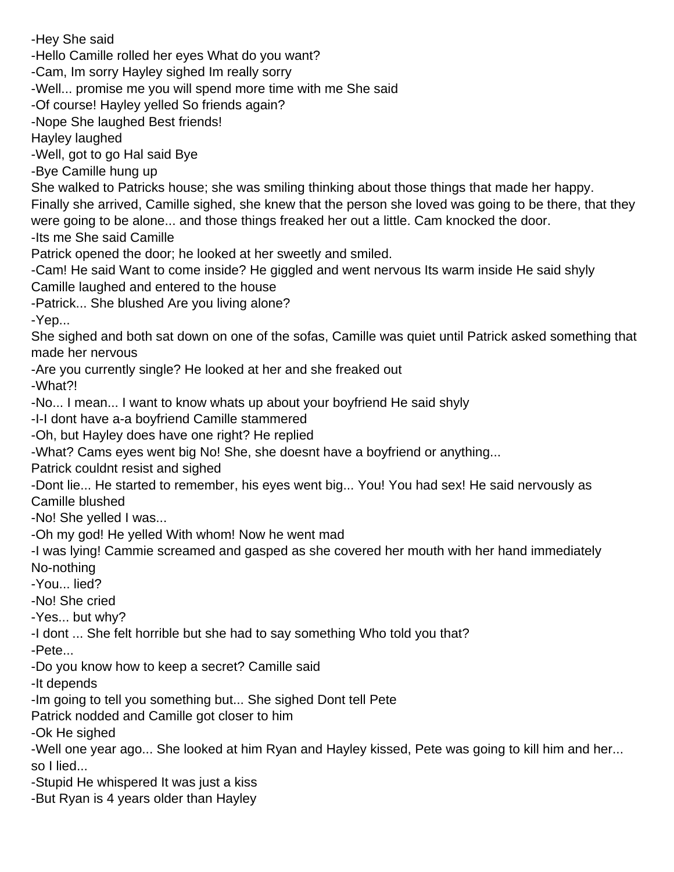-Hey She said -Hello Camille rolled her eyes What do you want? -Cam, I m sorry Hayley sighed I m really sorry -Well... promise me you will spend more time with me She said -Of course! Hayley yelled So friends again? -Nope She laughed Best friends! Hayley laughed -Well, got to go Hal said Bye -Bye Camille hung up She walked to Patrick s house; she was smiling thinking about those things that made her happy. Finally she arrived, Camille sighed, she knew that the person she loved was going to be there, that they were going to be alone... and those things freaked her out a little. Cam knocked the door. -Its me She said Camille Patrick opened the door; he looked at her sweetly and smiled. -Cam! He said Want to come inside? He giggled and went nervous It s warm inside He said shyly Camille laughed and entered to the house -Patrick... She blushed Are you living alone? -Yep... She sighed and both sat down on one of the sofas, Camille was quiet until Patrick asked something that made her nervous -Are you currently single? He looked at her and she freaked out -What?! -No... I mean... I want to know what s up about your boyfriend He said shyly -I-I don t have a-a boyfriend Camille stammered -Oh, but Hayley does have one right? He replied -What? Cam s eyes went big No! She, she doesn t have a boyfriend or anything... Patrick couldn t resist and sighed -Dont lie... He started to remember, his eyes went big... You! You had sex! He said nervously as Camille blushed -No! She yelled I was... -Oh my god! He yelled With whom! Now he went mad -I was lying! Cammie screamed and gasped as she covered her mouth with her hand immediately No-nothing -You... lied? -No! She cried -Yes... but why? -I dont ... She felt horrible but she had to say something Who told you that? -Pete... -Do you know how to keep a secret? Camille said -It depends -Im going to tell you something but... She sighed Dont tell Pete Patrick nodded and Camille got closer to him -Ok He sighed -Well one year ago... She looked at him Ryan and Hayley kissed, Pete was going to kill him and her... so I lied... -Stupid He whispered It was just a kiss -But Ryan is 4 years older than Hayley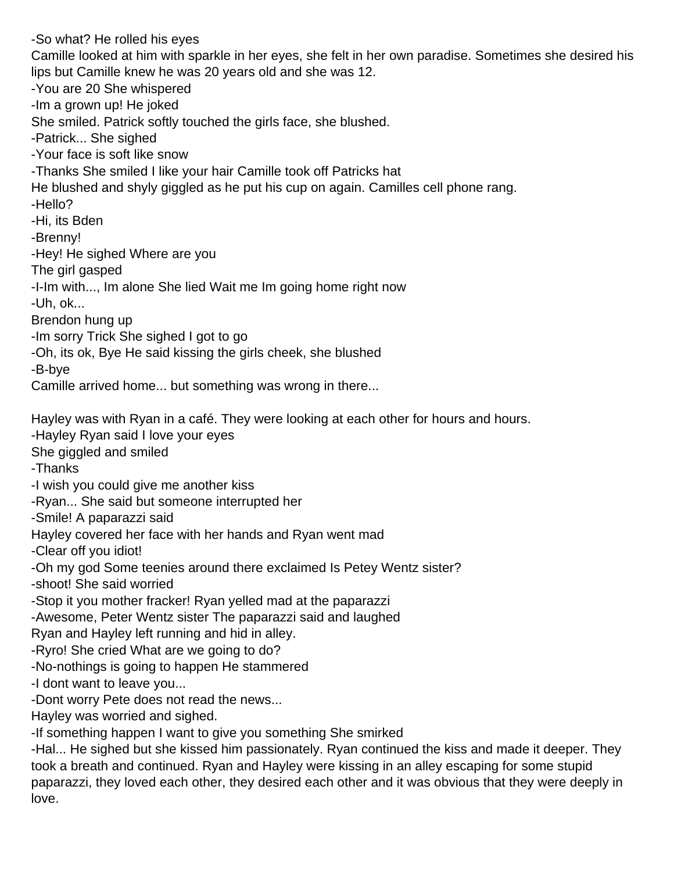-So what? He rolled his eyes Camille looked at him with sparkle in her eyes, she felt in her own paradise. Sometimes she desired his lips but Camille knew he was 20 years old and she was 12. -You are 20 She whispered -Im a grown up! He joked She smiled. Patrick softly touched the girl s face, she blushed. -Patrick... She sighed -Your face is soft like snow -Thanks She smiled I like your hair Camille took off Patrick s hat He blushed and shyly giggled as he put his cup on again. Camille s cell phone rang. -Hello? -Hi, it s Bden -Brenny! -Hey! He sighed Where are you The girl gasped -I-Im with..., Im alone She lied Wait me Im going home right now -Uh, ok... Brendon hung up -Im sorry Trick She sighed I got to go -Oh, it s ok, Bye He said kissing the girl s cheek, she blushed -B-bye Camille arrived home... but something was wrong in there... Hayley was with Ryan in a café. They were looking at each other for hours and hours. -Hayley Ryan said I love your eyes She giggled and smiled -Thanks -I wish you could give me another kiss -Ryan... She said but someone interrupted her -Smile! A paparazzi said Hayley covered her face with her hands and Ryan went mad -Clear off you idiot! -Oh my god Some teenies around there exclaimed Is Petey Wentz sister? -shoot! She said worried -Stop it you mother fracker! Ryan yelled mad at the paparazzi -Awesome, Peter Wentz sister The paparazzi said and laughed Ryan and Hayley left running and hid in alley. -Ryro! She cried What are we going to do? -No-nothings is going to happen He stammered -I don t want to leave you... -Don t worry Pete does not read the news... Hayley was worried and sighed. -If something happen I want to give you something She smirked -Hal... He sighed but she kissed him passionately. Ryan continued the kiss and made it deeper. They

took a breath and continued. Ryan and Hayley were kissing in an alley escaping for some stupid paparazzi, they loved each other, they desired each other and it was obvious that they were deeply in love.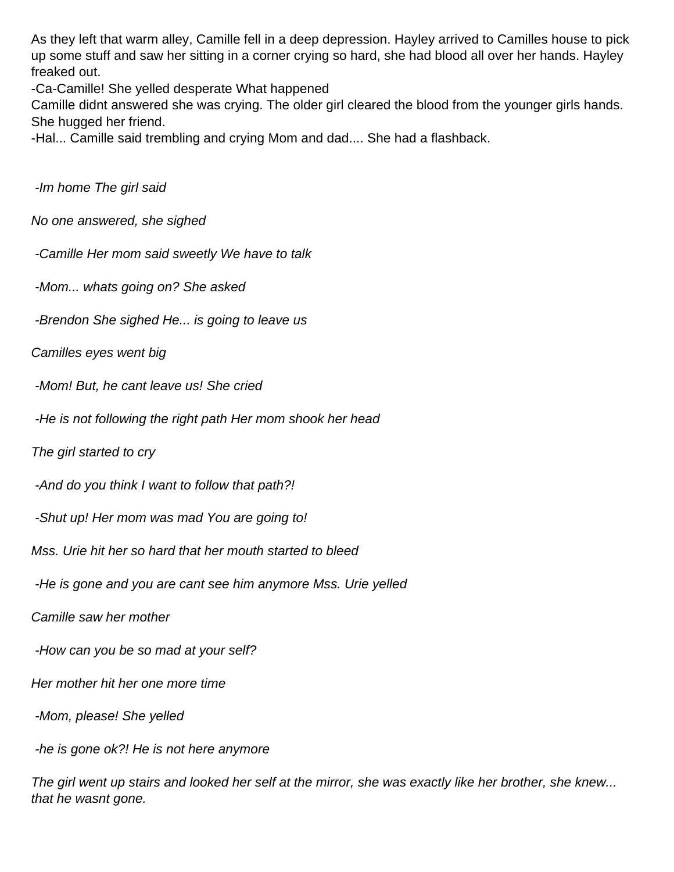As they left that warm alley, Camille fell in a deep depression. Hayley arrived to Camille s house to pick up some stuff and saw her sitting in a corner crying so hard, she had blood all over her hands. Hayley freaked out.

-Ca-Camille! She yelled desperate What happened

Camille didn t answered she was crying. The older girl cleared the blood from the younger girl s hands. She hugged her friend.

-Hal... Camille said trembling and crying Mom and dad.... She had a flashback.

-Im home The girl said

No one answered, she sighed

-Camille Her mom said sweetly We have to talk

-Mom... what s going on? She asked

-Brendon She sighed He... is going to leave us

Camille s eyes went big

-Mom! But, he can t leave us! She cried

-He is not following the right path Her mom shook her head

The girl started to cry

-And do you think I want to follow that path?!

-Shut up! Her mom was mad You are going to!

Mss. Urie hit her so hard that her mouth started to bleed

-He is gone and you are can t see him anymore Mss. Urie yelled

Camille saw her mother

-How can you be so mad at your self?

Her mother hit her one more time

-Mom, please! She yelled

-he is gone ok?! He is not here anymore

The girl went up stairs and looked her self at the mirror, she was exactly like her brother, she knew... that he wasn t gone.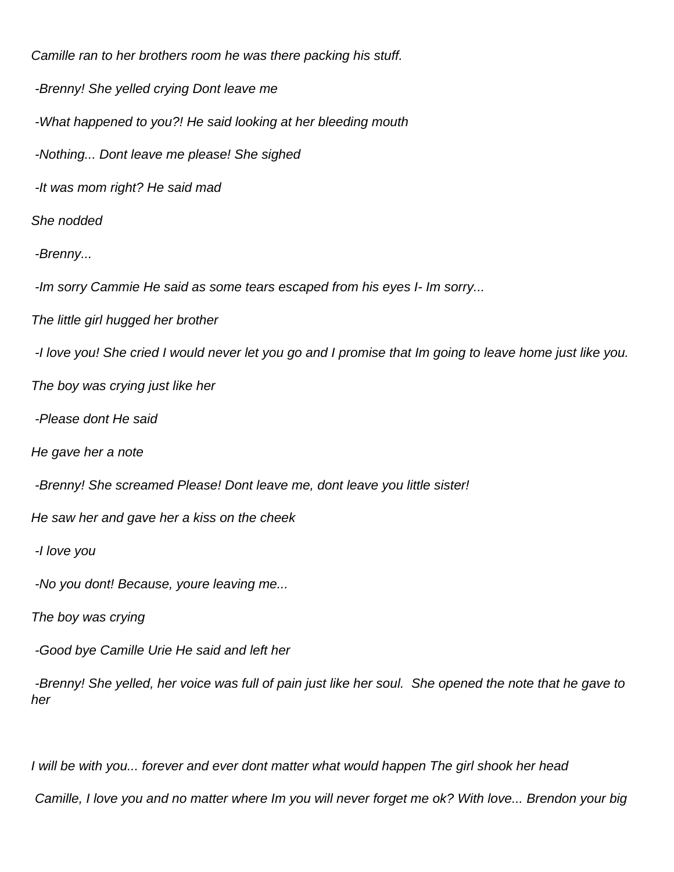Camille ran to her brother s room he was there packing his stuff. -Brenny! She yelled crying Don t leave me -What happened to you?! He said looking at her bleeding mouth -Nothing... Don t leave me please! She sighed -It was mom right? He said mad She nodded -Brenny... -Im sorry Cammie He said as some tears escaped from his eyes I- Im sorry... The little girl hugged her brother -I love you! She cried I would never let you go and I promise that Im going to leave home just like you. The boy was crying just like her -Please don t He said He gave her a note -Brenny! She screamed Please! Don t leave me, don t leave you little sister! He saw her and gave her a kiss on the cheek -I love you -No you don t! Because, you re leaving me... The boy was crying -Good bye Camille Urie He said and left her -Brenny! She yelled, her voice was full of pain just like her soul. She opened the note that he gave to her

I will be with you... forever and ever don t matter what would happen The girl shook her head

Camille, I love you and no matter where I m you will never forget me ok? With love... Brendon your big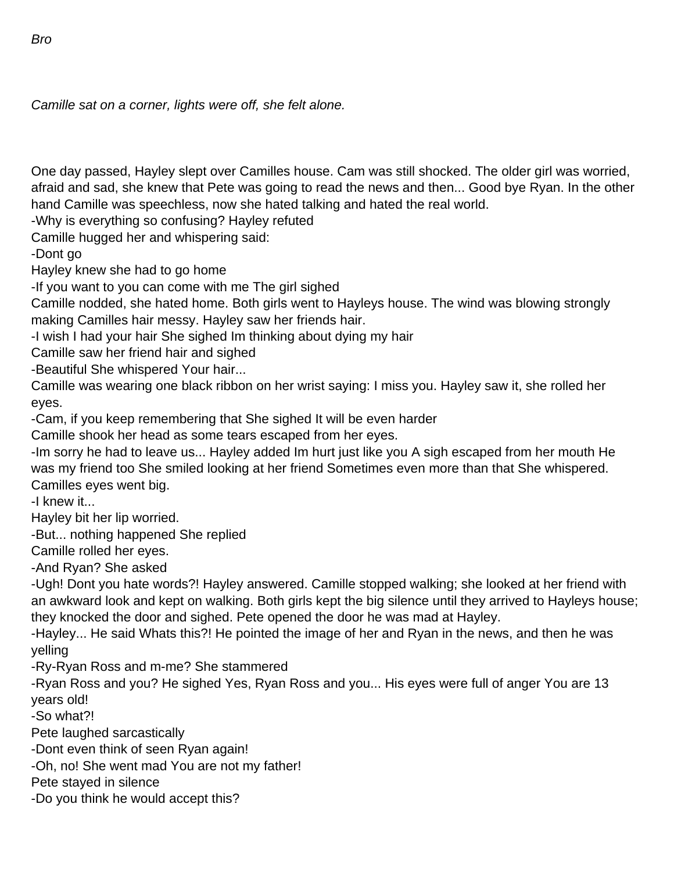Camille sat on a corner, lights were off, she felt alone.

One day passed, Hayley slept over Camille s house. Cam was still shocked. The older girl was worried, afraid and sad, she knew that Pete was going to read the news and then... Good bye Ryan. In the other hand Camille was speechless, now she hated talking and hated the real world.

-Why is everything so confusing? Hayley refuted

Camille hugged her and whispering said:

-Dont go

Hayley knew she had to go home

-If you want to you can come with me The girl sighed

Camille nodded, she hated home. Both girls went to Hayley s house. The wind was blowing strongly making Camille s hair messy. Hayley saw her friend s hair.

-I wish I had your hair She sighed Im thinking about dying my hair

Camille saw her friend hair and sighed

-Beautiful She whispered Your hair...

Camille was wearing one black ribbon on her wrist saying: I miss you. Hayley saw it, she rolled her eyes.

-Cam, if you keep remembering that She sighed It will be even harder

Camille shook her head as some tears escaped from her eyes.

-Im sorry he had to leave us... Hayley added Im hurt just like you A sigh escaped from her mouth He was my friend too She smiled looking at her friend Sometimes even more than that She whispered. Camille s eyes went big.

-I knew it...

Hayley bit her lip worried.

-But... nothing happened She replied

Camille rolled her eyes.

-And Ryan? She asked

-Ugh! Dont you hate words?! Hayley answered. Camille stopped walking; she looked at her friend with an awkward look and kept on walking. Both girls kept the big silence until they arrived to Hayley s house; they knocked the door and sighed. Pete opened the door he was mad at Hayley.

-Hayley... He said What s this?! He pointed the image of her and Ryan in the news, and then he was yelling

-Ry-Ryan Ross and m-me? She stammered

-Ryan Ross and you? He sighed Yes, Ryan Ross and you... His eyes were full of anger You are 13 years old!

-So what?!

Pete laughed sarcastically

-Don t even think of seen Ryan again!

-Oh, no! She went mad You are not my father!

Pete stayed in silence

-Do you think he would accept this?